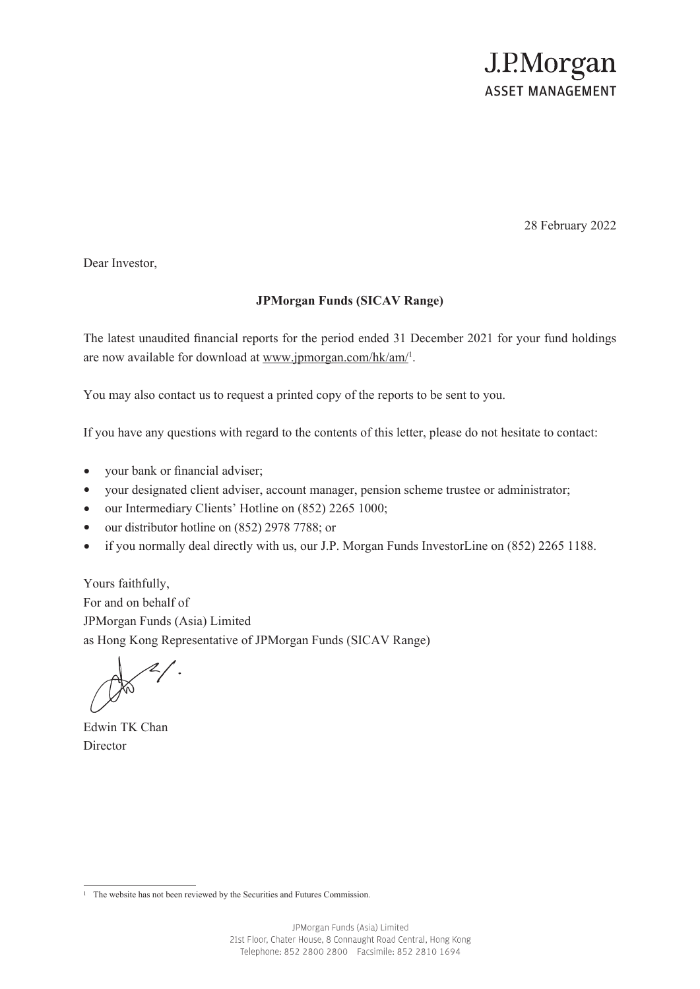## J.P.Morgan **ASSET MANAGEMENT**

28 February 2022

Dear Investor,

## **JPMorgan Funds (SICAV Range)**

The latest unaudited financial reports for the period ended 31 December 2021 for your fund holdings are now available for download at www.jpmorgan.com/hk/am/<sup>1</sup>.

You may also contact us to request a printed copy of the reports to be sent to you.

If you have any questions with regard to the contents of this letter, please do not hesitate to contact:

- your bank or financial adviser;
- your designated client adviser, account manager, pension scheme trustee or administrator;
- our Intermediary Clients' Hotline on (852) 2265 1000;
- our distributor hotline on (852) 2978 7788; or
- if you normally deal directly with us, our J.P. Morgan Funds InvestorLine on (852) 2265 1188.

Yours faithfully, For and on behalf of JPMorgan Funds (Asia) Limited as Hong Kong Representative of JPMorgan Funds (SICAV Range)

Edwin TK Chan **Director** 

<sup>&</sup>lt;sup>1</sup> The website has not been reviewed by the Securities and Futures Commission.